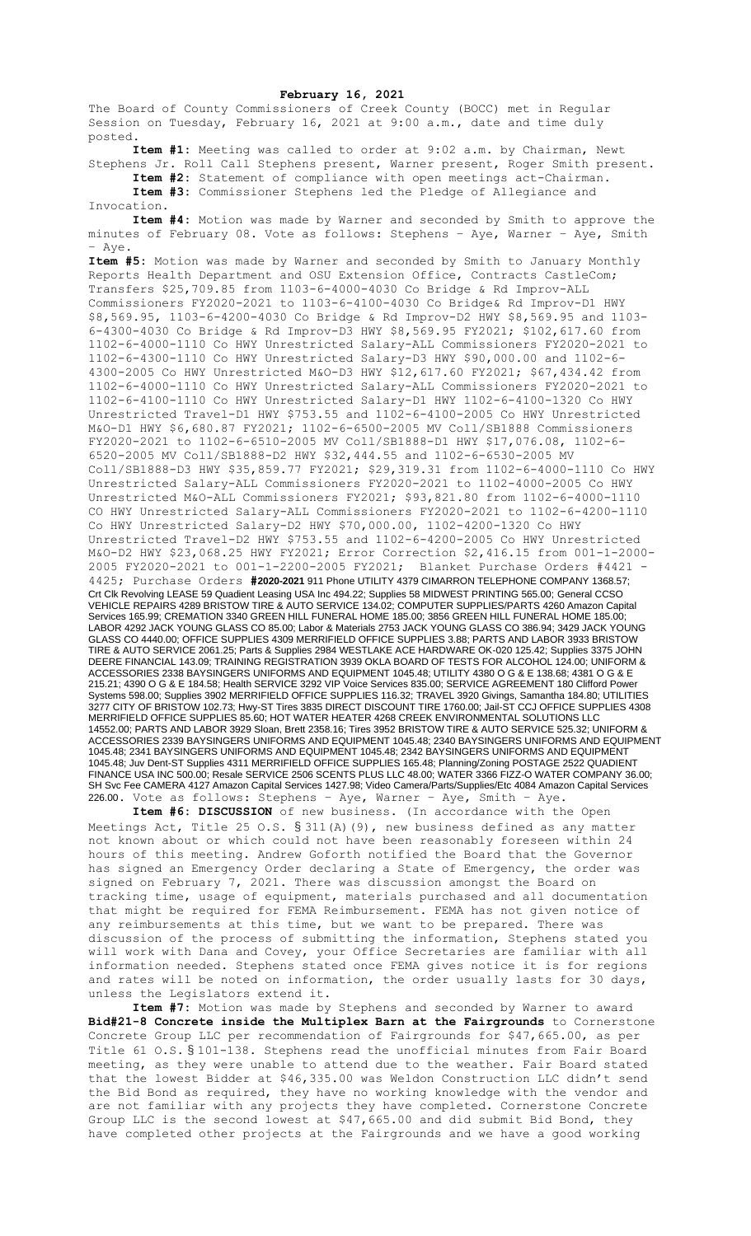## **February 16, 2021**

The Board of County Commissioners of Creek County (BOCC) met in Regular Session on Tuesday, February 16, 2021 at 9:00 a.m., date and time duly posted.

**Item #1:** Meeting was called to order at 9:02 a.m. by Chairman, Newt Stephens Jr. Roll Call Stephens present, Warner present, Roger Smith present.

**Item #2:** Statement of compliance with open meetings act-Chairman. **Item #3:** Commissioner Stephens led the Pledge of Allegiance and Invocation.

**Item #4:** Motion was made by Warner and seconded by Smith to approve the minutes of February 08. Vote as follows: Stephens – Aye, Warner – Aye, Smith – Aye.

**Item #5:** Motion was made by Warner and seconded by Smith to January Monthly Reports Health Department and OSU Extension Office, Contracts CastleCom; Transfers \$25,709.85 from 1103-6-4000-4030 Co Bridge & Rd Improv-ALL Commissioners FY2020-2021 to 1103-6-4100-4030 Co Bridge& Rd Improv-D1 HWY \$8,569.95, 1103-6-4200-4030 Co Bridge & Rd Improv-D2 HWY \$8,569.95 and 1103- 6-4300-4030 Co Bridge & Rd Improv-D3 HWY \$8,569.95 FY2021; \$102,617.60 from 1102-6-4000-1110 Co HWY Unrestricted Salary-ALL Commissioners FY2020-2021 to 1102-6-4300-1110 Co HWY Unrestricted Salary-D3 HWY \$90,000.00 and 1102-6- 4300-2005 Co HWY Unrestricted M&O-D3 HWY \$12,617.60 FY2021; \$67,434.42 from 1102-6-4000-1110 Co HWY Unrestricted Salary-ALL Commissioners FY2020-2021 to 1102-6-4100-1110 Co HWY Unrestricted Salary-D1 HWY 1102-6-4100-1320 Co HWY Unrestricted Travel-D1 HWY \$753.55 and 1102-6-4100-2005 Co HWY Unrestricted M&O-D1 HWY \$6,680.87 FY2021; 1102-6-6500-2005 MV Coll/SB1888 Commissioners FY2020-2021 to 1102-6-6510-2005 MV Coll/SB1888-D1 HWY \$17,076.08, 1102-6- 6520-2005 MV Coll/SB1888-D2 HWY \$32,444.55 and 1102-6-6530-2005 MV Coll/SB1888-D3 HWY \$35,859.77 FY2021; \$29,319.31 from 1102-6-4000-1110 Co HWY Unrestricted Salary-ALL Commissioners FY2020-2021 to 1102-4000-2005 Co HWY Unrestricted M&O-ALL Commissioners FY2021; \$93,821.80 from 1102-6-4000-1110 CO HWY Unrestricted Salary-ALL Commissioners FY2020-2021 to 1102-6-4200-1110 Co HWY Unrestricted Salary-D2 HWY \$70,000.00, 1102-4200-1320 Co HWY Unrestricted Travel-D2 HWY \$753.55 and 1102-6-4200-2005 Co HWY Unrestricted M&O-D2 HWY \$23,068.25 HWY FY2021; Error Correction \$2,416.15 from 001-1-2000- 2005 FY2020-2021 to 001-1-2200-2005 FY2021; Blanket Purchase Orders #4421 - 4425; Purchase Orders **#2020-2021** 911 Phone UTILITY 4379 CIMARRON TELEPHONE COMPANY 1368.57; Crt Clk Revolving LEASE 59 Quadient Leasing USA Inc 494.22; Supplies 58 MIDWEST PRINTING 565.00; General CCSO VEHICLE REPAIRS 4289 BRISTOW TIRE & AUTO SERVICE 134.02; COMPUTER SUPPLIES/PARTS 4260 Amazon Capital Services 165.99; CREMATION 3340 GREEN HILL FUNERAL HOME 185.00; 3856 GREEN HILL FUNERAL HOME 185.00; LABOR 4292 JACK YOUNG GLASS CO 85.00; Labor & Materials 2753 JACK YOUNG GLASS CO 386.94; 3429 JACK YOUNG GLASS CO 4440.00; OFFICE SUPPLIES 4309 MERRIFIELD OFFICE SUPPLIES 3.88; PARTS AND LABOR 3933 BRISTOW TIRE & AUTO SERVICE 2061.25; Parts & Supplies 2984 WESTLAKE ACE HARDWARE OK-020 125.42; Supplies 3375 JOHN DEERE FINANCIAL 143.09; TRAINING REGISTRATION 3939 OKLA BOARD OF TESTS FOR ALCOHOL 124.00; UNIFORM & ACCESSORIES 2338 BAYSINGERS UNIFORMS AND EQUIPMENT 1045.48; UTILITY 4380 O G & E 138.68; 4381 O G & E 215.21; 4390 O G & E 184.58; Health SERVICE 3292 VIP Voice Services 835.00; SERVICE AGREEMENT 180 Clifford Power Systems 598.00; Supplies 3902 MERRIFIELD OFFICE SUPPLIES 116.32; TRAVEL 3920 Givings, Samantha 184.80; UTILITIES 3277 CITY OF BRISTOW 102.73; Hwy-ST Tires 3835 DIRECT DISCOUNT TIRE 1760.00; Jail-ST CCJ OFFICE SUPPLIES 4308 MERRIFIELD OFFICE SUPPLIES 85.60; HOT WATER HEATER 4268 CREEK ENVIRONMENTAL SOLUTIONS LLC 14552.00; PARTS AND LABOR 3929 Sloan, Brett 2358.16; Tires 3952 BRISTOW TIRE & AUTO SERVICE 525.32; UNIFORM & ACCESSORIES 2339 BAYSINGERS UNIFORMS AND EQUIPMENT 1045.48; 2340 BAYSINGERS UNIFORMS AND EQUIPMENT 1045.48; 2341 BAYSINGERS UNIFORMS AND EQUIPMENT 1045.48; 2342 BAYSINGERS UNIFORMS AND EQUIPMENT 1045.48; Juv Dent-ST Supplies 4311 MERRIFIELD OFFICE SUPPLIES 165.48; Planning/Zoning POSTAGE 2522 QUADIENT FINANCE USA INC 500.00; Resale SERVICE 2506 SCENTS PLUS LLC 48.00; WATER 3366 FIZZ-O WATER COMPANY 36.00; SH Svc Fee CAMERA 4127 Amazon Capital Services 1427.98; Video Camera/Parts/Supplies/Etc 4084 Amazon Capital Services 226.00. Vote as follows: Stephens – Aye, Warner – Aye, Smith – Aye.

**Item #6: DISCUSSION** of new business. (In accordance with the Open Meetings Act, Title 25 O.S.  $\S$  311(A)(9), new business defined as any matter not known about or which could not have been reasonably foreseen within 24 hours of this meeting. Andrew Goforth notified the Board that the Governor has signed an Emergency Order declaring a State of Emergency, the order was signed on February 7, 2021. There was discussion amongst the Board on tracking time, usage of equipment, materials purchased and all documentation that might be required for FEMA Reimbursement. FEMA has not given notice of any reimbursements at this time, but we want to be prepared. There was discussion of the process of submitting the information, Stephens stated you will work with Dana and Covey, your Office Secretaries are familiar with all information needed. Stephens stated once FEMA gives notice it is for regions and rates will be noted on information, the order usually lasts for 30 days, unless the Legislators extend it.

**Item #7:** Motion was made by Stephens and seconded by Warner to award **Bid#21-8 Concrete inside the Multiplex Barn at the Fairgrounds** to Cornerstone Concrete Group LLC per recommendation of Fairgrounds for \$47,665.00, as per Title 61 O.S. § 101-138. Stephens read the unofficial minutes from Fair Board meeting, as they were unable to attend due to the weather. Fair Board stated that the lowest Bidder at \$46,335.00 was Weldon Construction LLC didn't send the Bid Bond as required, they have no working knowledge with the vendor and are not familiar with any projects they have completed. Cornerstone Concrete Group LLC is the second lowest at \$47,665.00 and did submit Bid Bond, they have completed other projects at the Fairgrounds and we have a good working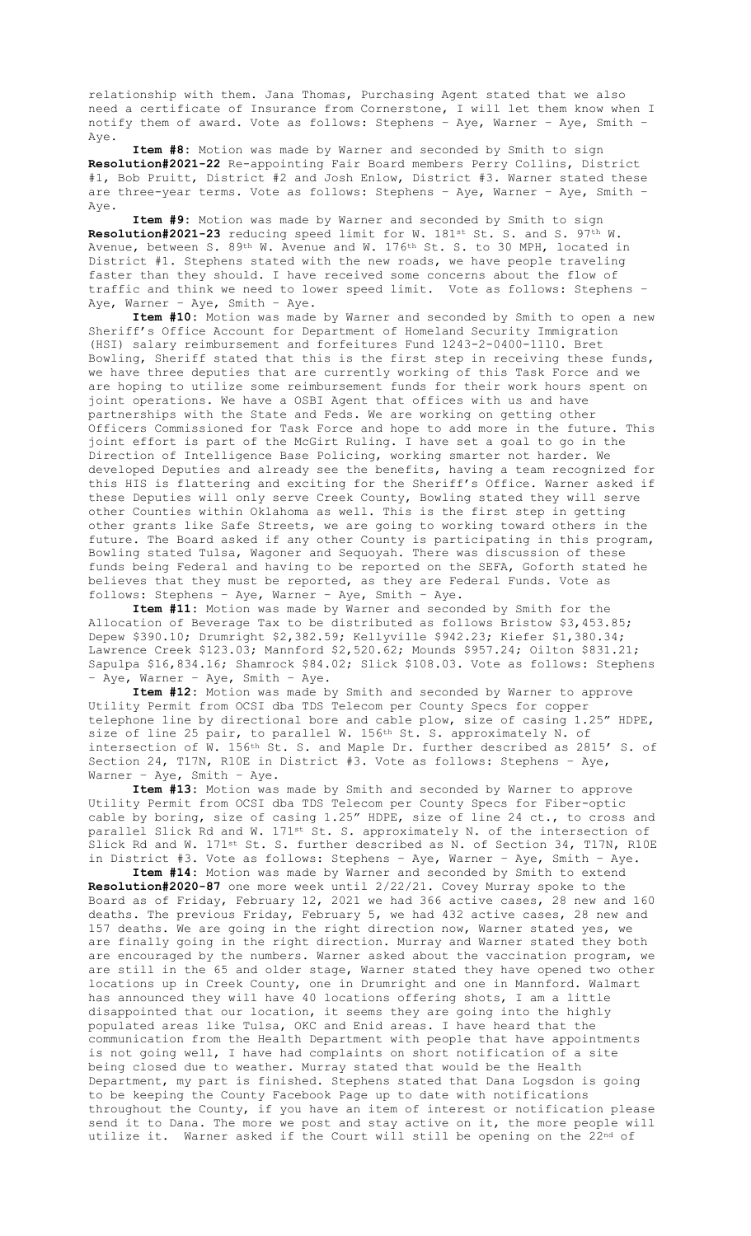relationship with them. Jana Thomas, Purchasing Agent stated that we also need a certificate of Insurance from Cornerstone, I will let them know when I notify them of award. Vote as follows: Stephens – Aye, Warner – Aye, Smith – Aye.

**Item #8:** Motion was made by Warner and seconded by Smith to sign **Resolution#2021-22** Re-appointing Fair Board members Perry Collins, District #1, Bob Pruitt, District #2 and Josh Enlow, District #3. Warner stated these are three-year terms. Vote as follows: Stephens – Aye, Warner – Aye, Smith – Aye.

**Item #9:** Motion was made by Warner and seconded by Smith to sign Resolution#2021-23 reducing speed limit for W. 181st St. S. and S. 97<sup>th</sup> W. Avenue, between S. 89th W. Avenue and W. 176th St. S. to 30 MPH, located in District #1. Stephens stated with the new roads, we have people traveling faster than they should. I have received some concerns about the flow of traffic and think we need to lower speed limit. Vote as follows: Stephens – Aye, Warner – Aye, Smith – Aye.

**Item #10:** Motion was made by Warner and seconded by Smith to open a new Sheriff's Office Account for Department of Homeland Security Immigration (HSI) salary reimbursement and forfeitures Fund 1243-2-0400-1110. Bret Bowling, Sheriff stated that this is the first step in receiving these funds, we have three deputies that are currently working of this Task Force and we are hoping to utilize some reimbursement funds for their work hours spent on joint operations. We have a OSBI Agent that offices with us and have partnerships with the State and Feds. We are working on getting other Officers Commissioned for Task Force and hope to add more in the future. This joint effort is part of the McGirt Ruling. I have set a goal to go in the Direction of Intelligence Base Policing, working smarter not harder. We developed Deputies and already see the benefits, having a team recognized for this HIS is flattering and exciting for the Sheriff's Office. Warner asked if these Deputies will only serve Creek County, Bowling stated they will serve other Counties within Oklahoma as well. This is the first step in getting other grants like Safe Streets, we are going to working toward others in the future. The Board asked if any other County is participating in this program, Bowling stated Tulsa, Wagoner and Sequoyah. There was discussion of these funds being Federal and having to be reported on the SEFA, Goforth stated he believes that they must be reported, as they are Federal Funds. Vote as follows: Stephens – Aye, Warner – Aye, Smith – Aye.

**Item #11:** Motion was made by Warner and seconded by Smith for the Allocation of Beverage Tax to be distributed as follows Bristow \$3,453.85; Depew \$390.10; Drumright \$2,382.59; Kellyville \$942.23; Kiefer \$1,380.34; Lawrence Creek \$123.03; Mannford \$2,520.62; Mounds \$957.24; Oilton \$831.21; Sapulpa \$16,834.16; Shamrock \$84.02; Slick \$108.03. Vote as follows: Stephens – Aye, Warner – Aye, Smith – Aye.

**Item #12:** Motion was made by Smith and seconded by Warner to approve Utility Permit from OCSI dba TDS Telecom per County Specs for copper telephone line by directional bore and cable plow, size of casing 1.25" HDPE, size of line 25 pair, to parallel W. 156th St. S. approximately N. of intersection of W. 156th St. S. and Maple Dr. further described as 2815' S. of Section 24, T17N, R10E in District #3. Vote as follows: Stephens – Aye, Warner – Aye, Smith – Aye.

**Item #13:** Motion was made by Smith and seconded by Warner to approve Utility Permit from OCSI dba TDS Telecom per County Specs for Fiber-optic cable by boring, size of casing 1.25" HDPE, size of line 24 ct., to cross and parallel Slick Rd and W. 171st St. S. approximately N. of the intersection of Slick Rd and W. 171st St. S. further described as N. of Section 34, T17N, R10E in District #3. Vote as follows: Stephens – Aye, Warner – Aye, Smith – Aye.

**Item #14:** Motion was made by Warner and seconded by Smith to extend **Resolution#2020-87** one more week until 2/22/21. Covey Murray spoke to the Board as of Friday, February 12, 2021 we had 366 active cases, 28 new and 160 deaths. The previous Friday, February 5, we had 432 active cases, 28 new and 157 deaths. We are going in the right direction now, Warner stated yes, we are finally going in the right direction. Murray and Warner stated they both are encouraged by the numbers. Warner asked about the vaccination program, we are still in the 65 and older stage, Warner stated they have opened two other locations up in Creek County, one in Drumright and one in Mannford. Walmart has announced they will have 40 locations offering shots, I am a little disappointed that our location, it seems they are going into the highly populated areas like Tulsa, OKC and Enid areas. I have heard that the communication from the Health Department with people that have appointments is not going well, I have had complaints on short notification of a site being closed due to weather. Murray stated that would be the Health Department, my part is finished. Stephens stated that Dana Logsdon is going to be keeping the County Facebook Page up to date with notifications throughout the County, if you have an item of interest or notification please send it to Dana. The more we post and stay active on it, the more people will utilize it. Warner asked if the Court will still be opening on the 22nd of